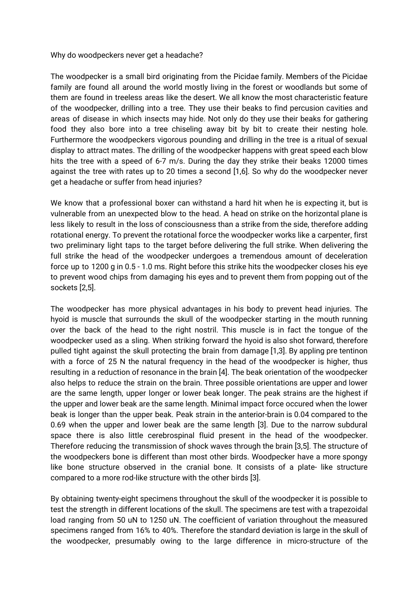Why do woodpeckers never get a headache?

The woodpecker is a small bird originating from the Picidae family. Members of the Picidae family are found all around the world mostly living in the forest or woodlands but some of them are found in treeless areas like the desert. We all know the most characteristic feature of the woodpecker, drilling into a tree. They use their beaks to find percusion cavities and areas of disease in which insects may hide. Not only do they use their beaks for gathering food they also bore into a tree chiseling away bit by bit to create their nesting hole. Furthermore the woodpeckers vigorous pounding and drilling in the tree is a ritual of sexual display to attract mates. The drilling of the woodpecker happens with great speed each blow hits the tree with a speed of 6-7 m/s. During the day they strike their beaks 12000 times against the tree with rates up to 20 times a second [1,6]. So why do the woodpecker never get a headache or suffer from head injuries?

We know that a professional boxer can withstand a hard hit when he is expecting it, but is vulnerable from an unexpected blow to the head. A head on strike on the horizontal plane is less likely to result in the loss of consciousness than a strike from the side, therefore adding rotational energy. To prevent the rotational force the woodpecker works like a carpenter, first two preliminary light taps to the target before delivering the full strike. When delivering the full strike the head of the woodpecker undergoes a tremendous amount of deceleration force up to 1200 g in 0.5 - 1.0 ms. Right before this strike hits the woodpecker closes his eye to prevent wood chips from damaging his eyes and to prevent them from popping out of the sockets [2,5].

The woodpecker has more physical advantages in his body to prevent head injuries. The hyoid is muscle that surrounds the skull of the woodpecker starting in the mouth running over the back of the head to the right nostril. This muscle is in fact the tongue of the woodpecker used as a sling. When striking forward the hyoid is also shot forward, therefore pulled tight against the skull protecting the brain from damage [1,3]. By appling pre tentinon with a force of 25 N the natural frequency in the head of the woodpecker is higher, thus resulting in a reduction of resonance in the brain [4]. The beak orientation of the woodpecker also helps to reduce the strain on the brain. Three possible orientations are upper and lower are the same length, upper longer or lower beak longer. The peak strains are the highest if the upper and lower beak are the same length. Minimal impact force occured when the lower beak is longer than the upper beak. Peak strain in the anterior-brain is 0.04 compared to the 0.69 when the upper and lower beak are the same length [3]. Due to the narrow subdural space there is also little cerebrospinal fluid present in the head of the woodpecker. Therefore reducing the transmission of shock waves through the brain [3,5]. The structure of the woodpeckers bone is different than most other birds. Woodpecker have a more spongy like bone structure observed in the cranial bone. It consists of a plate- like structure compared to a more rod-like structure with the other birds [3].

By obtaining twenty-eight specimens throughout the skull of the woodpecker it is possible to test the strength in different locations of the skull. The specimens are test with a trapezoidal load ranging from 50 uN to 1250 uN. The coefficient of variation throughout the measured specimens ranged from 16% to 40%. Therefore the standard deviation is large in the skull of the woodpecker, presumably owing to the large difference in micro-structure of the